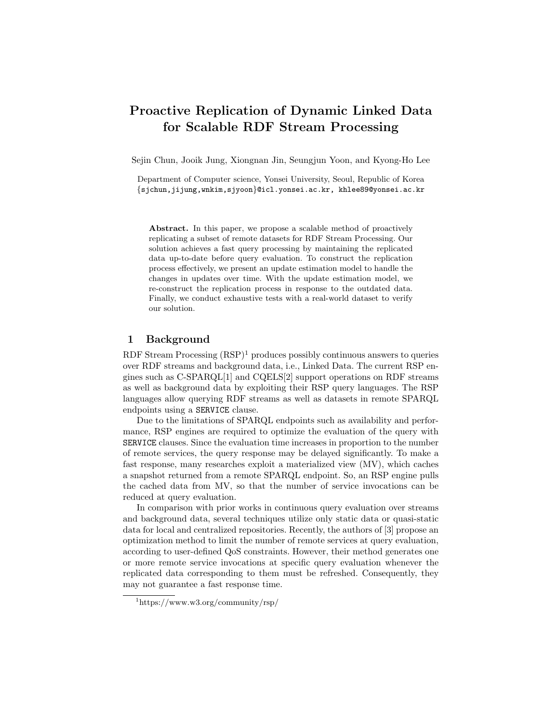# Proactive Replication of Dynamic Linked Data for Scalable RDF Stream Processing

Sejin Chun, Jooik Jung, Xiongnan Jin, Seungjun Yoon, and Kyong-Ho Lee

Department of Computer science, Yonsei University, Seoul, Republic of Korea {sjchun,jijung,wnkim,sjyoon}@icl.yonsei.ac.kr, khlee89@yonsei.ac.kr

Abstract. In this paper, we propose a scalable method of proactively replicating a subset of remote datasets for RDF Stream Processing. Our solution achieves a fast query processing by maintaining the replicated data up-to-date before query evaluation. To construct the replication process effectively, we present an update estimation model to handle the changes in updates over time. With the update estimation model, we re-construct the replication process in response to the outdated data. Finally, we conduct exhaustive tests with a real-world dataset to verify our solution.

### 1 Background

RDF Stream Processing  $(RSP)^1$  produces possibly continuous answers to queries over RDF streams and background data, i.e., Linked Data. The current RSP engines such as C-SPARQL[1] and CQELS[2] support operations on RDF streams as well as background data by exploiting their RSP query languages. The RSP languages allow querying RDF streams as well as datasets in remote SPARQL endpoints using a SERVICE clause.

Due to the limitations of SPARQL endpoints such as availability and performance, RSP engines are required to optimize the evaluation of the query with SERVICE clauses. Since the evaluation time increases in proportion to the number of remote services, the query response may be delayed significantly. To make a fast response, many researches exploit a materialized view (MV), which caches a snapshot returned from a remote SPARQL endpoint. So, an RSP engine pulls the cached data from MV, so that the number of service invocations can be reduced at query evaluation.

In comparison with prior works in continuous query evaluation over streams and background data, several techniques utilize only static data or quasi-static data for local and centralized repositories. Recently, the authors of [3] propose an optimization method to limit the number of remote services at query evaluation, according to user-defined QoS constraints. However, their method generates one or more remote service invocations at specific query evaluation whenever the replicated data corresponding to them must be refreshed. Consequently, they may not guarantee a fast response time.

<sup>1</sup>https://www.w3.org/community/rsp/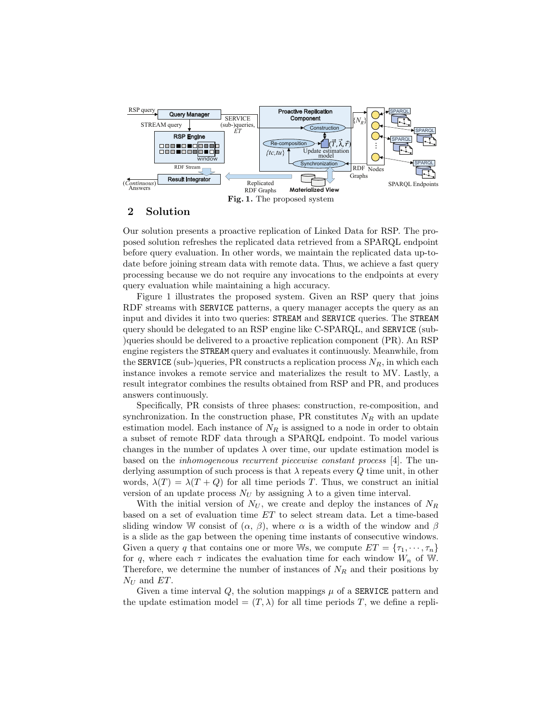

### 2 Solution

Our solution presents a proactive replication of Linked Data for RSP. The proposed solution refreshes the replicated data retrieved from a SPARQL endpoint before query evaluation. In other words, we maintain the replicated data up-todate before joining stream data with remote data. Thus, we achieve a fast query processing because we do not require any invocations to the endpoints at every query evaluation while maintaining a high accuracy.

Figure 1 illustrates the proposed system. Given an RSP query that joins RDF streams with SERVICE patterns, a query manager accepts the query as an input and divides it into two queries: STREAM and SERVICE queries. The STREAM query should be delegated to an RSP engine like C-SPARQL, and SERVICE (sub- )queries should be delivered to a proactive replication component (PR). An RSP engine registers the STREAM query and evaluates it continuously. Meanwhile, from the SERVICE (sub-)queries, PR constructs a replication process  $N_R$ , in which each instance invokes a remote service and materializes the result to MV. Lastly, a result integrator combines the results obtained from RSP and PR, and produces answers continuously.

Specifically, PR consists of three phases: construction, re-composition, and synchronization. In the construction phase, PR constitutes  $N_R$  with an update estimation model. Each instance of  $N_R$  is assigned to a node in order to obtain a subset of remote RDF data through a SPARQL endpoint. To model various changes in the number of updates  $\lambda$  over time, our update estimation model is based on the inhomogeneous recurrent piecewise constant process [4]. The underlying assumption of such process is that  $\lambda$  repeats every Q time unit, in other words,  $\lambda(T) = \lambda(T + Q)$  for all time periods T. Thus, we construct an initial version of an update process  $N_U$  by assigning  $\lambda$  to a given time interval.

With the initial version of  $N_U$ , we create and deploy the instances of  $N_R$ based on a set of evaluation time ET to select stream data. Let a time-based sliding window W consist of  $(\alpha, \beta)$ , where  $\alpha$  is a width of the window and  $\beta$ is a slide as the gap between the opening time instants of consecutive windows. Given a query q that contains one or more Ws, we compute  $ET = \{\tau_1, \dots, \tau_n\}$ for q, where each  $\tau$  indicates the evaluation time for each window  $W_n$  of W. Therefore, we determine the number of instances of  $N_R$  and their positions by  $N_U$  and  $ET$ .

Given a time interval  $Q$ , the solution mappings  $\mu$  of a **SERVICE** pattern and the update estimation model =  $(T, \lambda)$  for all time periods T, we define a repli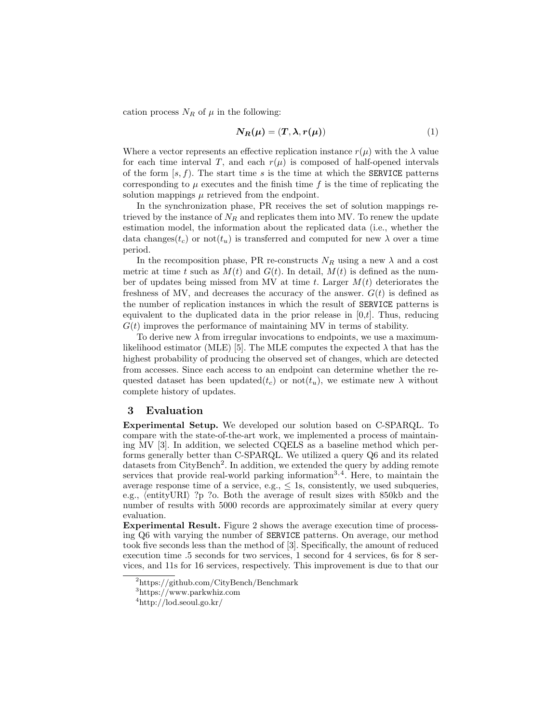cation process  $N_R$  of  $\mu$  in the following:

$$
N_R(\mu) = (T, \lambda, r(\mu))
$$
\n(1)

Where a vector represents an effective replication instance  $r(\mu)$  with the  $\lambda$  value for each time interval T, and each  $r(\mu)$  is composed of half-opened intervals of the form  $[s, f]$ . The start time s is the time at which the **SERVICE** patterns corresponding to  $\mu$  executes and the finish time f is the time of replicating the solution mappings  $\mu$  retrieved from the endpoint.

In the synchronization phase, PR receives the set of solution mappings retrieved by the instance of  $N_R$  and replicates them into MV. To renew the update estimation model, the information about the replicated data (i.e., whether the data changes( $t_c$ ) or not( $t_u$ ) is transferred and computed for new  $\lambda$  over a time period.

In the recomposition phase, PR re-constructs  $N_R$  using a new  $\lambda$  and a cost metric at time t such as  $M(t)$  and  $G(t)$ . In detail,  $M(t)$  is defined as the number of updates being missed from MV at time t. Larger  $M(t)$  deteriorates the freshness of MV, and decreases the accuracy of the answer.  $G(t)$  is defined as the number of replication instances in which the result of SERVICE patterns is equivalent to the duplicated data in the prior release in  $[0,t]$ . Thus, reducing  $G(t)$  improves the performance of maintaining MV in terms of stability.

To derive new  $\lambda$  from irregular invocations to endpoints, we use a maximumlikelihood estimator (MLE) [5]. The MLE computes the expected  $\lambda$  that has the highest probability of producing the observed set of changes, which are detected from accesses. Since each access to an endpoint can determine whether the requested dataset has been updated $(t_c)$  or not $(t_u)$ , we estimate new  $\lambda$  without complete history of updates.

## 3 Evaluation

Experimental Setup. We developed our solution based on C-SPARQL. To compare with the state-of-the-art work, we implemented a process of maintaining MV [3]. In addition, we selected CQELS as a baseline method which performs generally better than C-SPARQL. We utilized a query Q6 and its related datasets from CityBench<sup>2</sup>. In addition, we extended the query by adding remote services that provide real-world parking information<sup>3,4</sup>. Here, to maintain the average response time of a service, e.g.,  $\leq$  1s, consistently, we used subqueries, e.g.,  $\langle$  entityURI $\rangle$ ?p ?o. Both the average of result sizes with 850kb and the number of results with 5000 records are approximately similar at every query evaluation.

Experimental Result. Figure 2 shows the average execution time of processing Q6 with varying the number of SERVICE patterns. On average, our method took five seconds less than the method of [3]. Specifically, the amount of reduced execution time .5 seconds for two services, 1 second for 4 services, 6s for 8 services, and 11s for 16 services, respectively. This improvement is due to that our

 $2$ https://github.com/CityBench/Benchmark

<sup>3</sup>https://www.parkwhiz.com

 $4$ http://lod.seoul.go.kr/